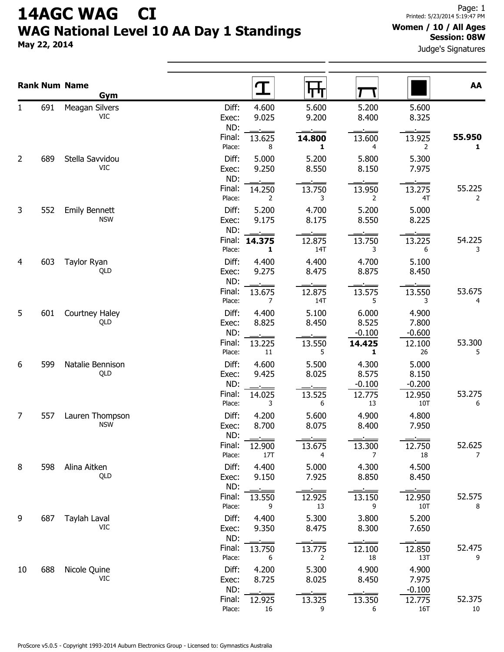## 14AGC WAG CI WAG National Level 10 AA Day 1 Standings

May 22, 2014

## Women / 10 / All Ages Session: 08W

Judge's Signatures

|                |     | <b>Rank Num Name</b><br>Gym        |                       |                           | पग                       |                            |                            | AA                       |
|----------------|-----|------------------------------------|-----------------------|---------------------------|--------------------------|----------------------------|----------------------------|--------------------------|
| 1              | 691 | Meagan Silvers<br><b>VIC</b>       | Diff:<br>Exec:<br>ND: | 4.600<br>9.025            | 5.600<br>9.200           | 5.200<br>8.400             | 5.600<br>8.325             |                          |
|                |     |                                    | Final:<br>Place:      | 13.625<br>8               | 14.800<br>1              | 13.600<br>4                | 13.925<br>2                | 55.950<br>1              |
| $\overline{2}$ | 689 | Stella Savvidou<br><b>VIC</b>      | Diff:<br>Exec:<br>ND: | 5.000<br>9.250            | 5.200<br>8.550           | 5.800<br>8.150             | 5.300<br>7.975             |                          |
|                |     |                                    | Final:<br>Place:      | 14.250<br>2               | 13.750<br>3              | 13.950<br>2                | 13.275<br>4T               | 55.225<br>$\overline{2}$ |
| 3              | 552 | <b>Emily Bennett</b><br><b>NSW</b> | Diff:<br>Exec:<br>ND: | 5.200<br>9.175            | 4.700<br>8.175           | 5.200<br>8.550             | 5.000<br>8.225             |                          |
|                |     |                                    | Final:<br>Place:      | 14.375<br>1               | 12.875<br>14T            | 13.750<br>3                | 13.225<br>6                | 54.225<br>3              |
| 4              | 603 | Taylor Ryan<br>QLD                 | Diff:<br>Exec:<br>ND: | 4.400<br>9.275            | 4.400<br>8.475           | 4.700<br>8.875             | 5.100<br>8.450             |                          |
|                |     |                                    | Final:<br>Place:      | 13.675<br>$\overline{7}$  | 12.875<br>14T            | 13.575<br>5                | 13.550<br>3                | 53.675<br>4              |
| 5              | 601 | Courtney Haley<br>QLD              | Diff:<br>Exec:<br>ND: | 4.400<br>8.825            | 5.100<br>8.450           | 6.000<br>8.525<br>$-0.100$ | 4.900<br>7.800<br>$-0.600$ |                          |
|                |     |                                    | Final:<br>Place:      | 13.225<br>11              | 13.550<br>5              | 14.425<br>1                | 12.100<br>26               | 53.300<br>5              |
| 6              | 599 | Natalie Bennison<br>QLD            | Diff:<br>Exec:<br>ND: | 4.600<br>9.425            | 5.500<br>8.025           | 4.300<br>8.575<br>$-0.100$ | 5.000<br>8.150<br>$-0.200$ |                          |
|                |     |                                    | Final:<br>Place:      | 14.025<br>3               | 13.525<br>6              | 12.775<br>13               | 12.950<br>10T              | 53.275<br>6              |
| 7              | 557 | Lauren Thompson<br><b>NSW</b>      | Diff:<br>Exec:<br>ND: | 4.200<br>8.700            | 5.600<br>8.075           | 4.900<br>8.400             | 4.800<br>7.950             |                          |
|                |     |                                    | Final:<br>Place:      | 12.900<br>17T             | 13.675<br>4              | 13.300<br>$\overline{7}$   | 12.750<br>18               | 52.625<br>$\overline{7}$ |
| 8              | 598 | Alina Aitken<br>QLD                | Diff:<br>Exec:<br>ND: | 4.400<br>9.150            | 5.000<br>7.925           | 4.300<br>8.850             | 4.500<br>8.450             |                          |
|                |     |                                    | Final:<br>Place:      | 13.550<br>9               | 12.925<br>13             | 13.150<br>9                | 12.950<br>10T              | 52.575<br>8              |
| 9              | 687 | Taylah Laval<br>VIC                | Diff:<br>Exec:<br>ND: | 4.400<br>9.350            | 5.300<br>8.475           | 3.800<br>8.300             | 5.200<br>7.650             |                          |
|                |     |                                    | Final:<br>Place:      | 13.750<br>$6\overline{6}$ | 13.775<br>$\overline{2}$ | 12.100<br>18               | 12.850<br>13T              | 52.475<br>9              |
| 10             | 688 | Nicole Quine<br><b>VIC</b>         | Diff:<br>Exec:<br>ND: | 4.200<br>8.725            | 5.300<br>8.025           | 4.900<br>8.450<br>$\sim$   | 4.900<br>7.975<br>$-0.100$ |                          |
|                |     |                                    | Final:<br>Place:      | 12.925<br>16              | 13.325<br>9              | 13.350<br>6                | 12.775<br>16T              | 52.375<br>10             |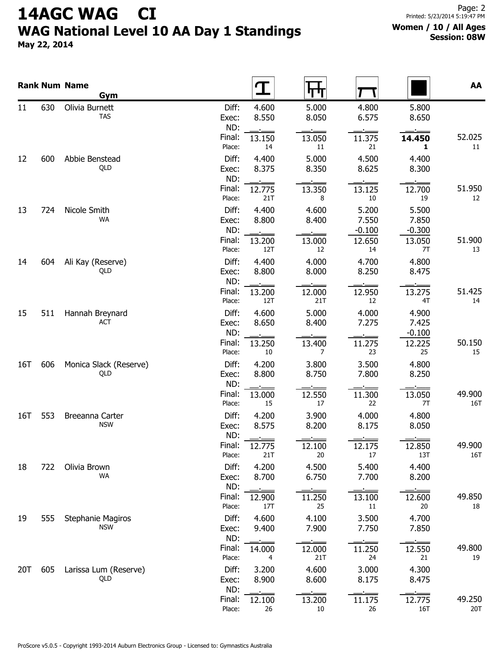## 14AGC WAG CI WAG National Level 10 AA Day 1 Standings

May 22, 2014

|     |     | <b>Rank Num Name</b><br>Gym            |                                         |                  |                            |                            | AA            |
|-----|-----|----------------------------------------|-----------------------------------------|------------------|----------------------------|----------------------------|---------------|
| 11  | 630 | Olivia Burnett<br><b>TAS</b>           | Diff:<br>4.600<br>8.550<br>Exec:<br>ND: | 5.000<br>8.050   | 4.800<br>6.575             | 5.800<br>8.650             |               |
|     |     |                                        | Final:<br>13.150<br>Place:<br>14        | 13.050<br>11     | 11.375<br>21               | 14.450<br>1                | 52.025<br>11  |
| 12  | 600 | Abbie Benstead<br>QLD                  | Diff:<br>4.400<br>8.375<br>Exec:<br>ND: | 5.000<br>8.350   | 4.500<br>8.625             | 4.400<br>8.300             |               |
|     |     |                                        | Final:<br>12.775<br>Place:<br>21T       | 13.350<br>8      | 13.125<br>$10\,$           | 12.700<br>19               | 51.950<br>12  |
| 13  | 724 | Nicole Smith<br>WA                     | Diff:<br>4.400<br>8.800<br>Exec:<br>ND: | 4.600<br>8.400   | 5.200<br>7.550<br>$-0.100$ | 5.500<br>7.850<br>$-0.300$ |               |
|     |     |                                        | Final:<br>13.200<br>Place:<br>12T       | 13.000<br>12     | 12.650<br>14               | 13.050<br>7T               | 51.900<br>13  |
| 14  | 604 | Ali Kay (Reserve)<br>QLD               | Diff:<br>4.400<br>8.800<br>Exec:<br>ND: | 4.000<br>8.000   | 4.700<br>8.250             | 4.800<br>8.475             |               |
|     |     |                                        | Final:<br>13.200<br>Place:<br>12T       | 12.000<br>21T    | 12.950<br>12               | 13.275<br>4T               | 51.425<br>14  |
| 15  | 511 | Hannah Breynard<br>ACT                 | Diff:<br>4.600<br>8.650<br>Exec:<br>ND: | 5.000<br>8.400   | 4.000<br>7.275             | 4.900<br>7.425<br>$-0.100$ |               |
|     |     |                                        | Final:<br>13.250<br>Place:<br>10        | 13.400<br>7      | 11.275<br>23               | 12.225<br>25               | 50.150<br>15  |
| 16T | 606 | Monica Slack (Reserve)<br>QLD          | Diff:<br>4.200<br>8.800<br>Exec:<br>ND: | 3.800<br>8.750   | 3.500<br>7.800             | 4.800<br>8.250             |               |
|     |     |                                        | Final:<br>13.000<br>Place:<br>15        | 12.550<br>17     | 11.300<br>22               | 13.050<br>7T               | 49.900<br>16T |
| 16T | 553 | Breeanna Carter<br><b>NSW</b>          | Diff:<br>4.200<br>8.575<br>Exec:<br>ND: | 3.900<br>8.200   | 4.000<br>8.175             | 4.800<br>8.050             |               |
|     |     |                                        | Final:<br>12.775<br>Place:<br>21T       | 12.100<br>20     | 12.175<br>17               | 12.850<br>13T              | 49.900<br>16T |
| 18  | 722 | Olivia Brown<br>WA                     | Diff:<br>4.200<br>8.700<br>Exec:<br>ND: | 4.500<br>6.750   | 5.400<br>7.700             | 4.400<br>8.200             |               |
|     |     |                                        | Final:<br>12.900<br>Place:<br>17T       | 11.250<br>25     | 13.100<br>11               | 12.600<br>20               | 49.850<br>18  |
| 19  | 555 | <b>Stephanie Magiros</b><br><b>NSW</b> | Diff:<br>4.600<br>9.400<br>Exec:<br>ND: | 4.100<br>7.900   | 3.500<br>7.750             | 4.700<br>7.850             |               |
|     |     |                                        | Final:<br>14.000<br>Place:<br>4         | 12.000<br>21T    | 11.250<br>24               | 12.550<br>21               | 49.800<br>19  |
| 20T | 605 | Larissa Lum (Reserve)<br>QLD           | Diff:<br>3.200<br>8.900<br>Exec:<br>ND: | 4.600<br>8.600   | 3.000<br>8.175             | 4.300<br>8.475             |               |
|     |     |                                        | Final:<br>12.100<br>Place:<br>26        | 13.200<br>$10\,$ | 11.175<br>26               | 12.775<br>16T              | 49.250<br>20T |